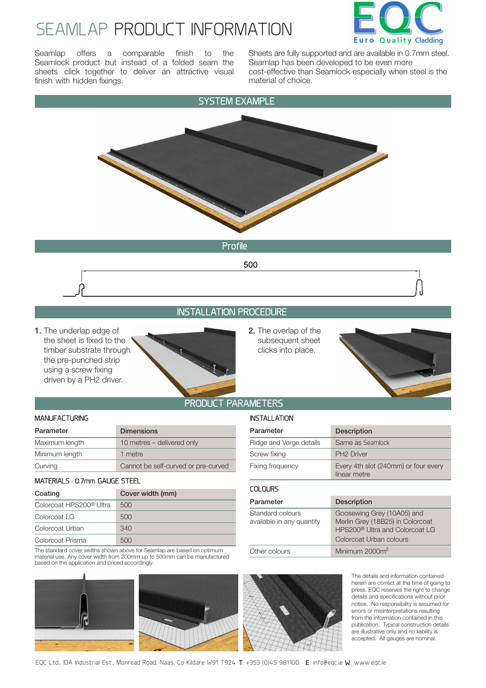## SEAMLAP PRODUCT INFORMATION



Seamlap offers a comparable finish to the Seamlock product but instead of a folded seam the sheets click together to deliver an attractive visual finish with hidden fixings.

Sheets are fully supported and are available in 0.7mm steel. Seamlap has been developed to be even more cost-effective than Seamlock especially when steel is the material of choice.



**1.** The underlap edge of the sheet is fixed to the timber substrate through the pre-punched strip using a screw fixing driven by a PH2 driver.



**2.** The overlap of the subsequent sheet clicks into place.

INSTALL ATION



### PRODUCT PARAMETERS

#### MANUFACTURING

| Parameter      | <b>Dimensions</b>                   |
|----------------|-------------------------------------|
| Maximum length | 10 metres – delivered only          |
| Minimum length | 1 metre                             |
| Curving        | Cannot be self-curved or pre-curved |

#### MATERIALS · 0.7mm GAUGE STEEL

| Coating                             | Cover width (mm) |
|-------------------------------------|------------------|
| Colorcoat HPS200 <sup>®</sup> Ultra | 500              |
| Colorcoat LG                        | 500              |
| Colorcoat Urban                     | 340              |
| Colorcoat Prisma                    | 500              |

The standard cover widths shown above for Seamlap are based on optimum material use. Any cover width from 200mm up to 500mm can be manufactured based on the application and priced accordingly.

| Parameter               | <b>Description</b>                                   |  |
|-------------------------|------------------------------------------------------|--|
| Ridge and Verge details | Same as Seamlock                                     |  |
| Screw fixing            | <b>PH2 Driver</b>                                    |  |
| Fixing frequency        | Every 4th slot (240mm) or four every<br>linear metre |  |

| <b>COLOURS</b>                                |                                                                                                                                         |
|-----------------------------------------------|-----------------------------------------------------------------------------------------------------------------------------------------|
| Parameter                                     | <b>Description</b>                                                                                                                      |
| Standard colours<br>available in any quantity | Goosewing Grey (10A05) and<br>Merlin Grey (18B25) in Colorcoat<br>HPS200 <sup>®</sup> Ultra and Colorcoat LG<br>Colorcoat Urban colours |
| Other colours                                 | Minimum $2000m^2$                                                                                                                       |



The details and information contained herein are correct at the time of going to press. EQC reserves the right to change details and specifications without prior notice. No responsibility is assumed for errors or misinterpretations resulting from the information contained in this publication. Typical construction details are illustrative only and no liability is accepted. All gauges are nominal.





EQC Ltd., IDA Industrial Est., Monread Road, Naas, Co Kildare W91 T924 T: +353 (0)45 981100. E: info@eqc.ie W: www.eqc.ie